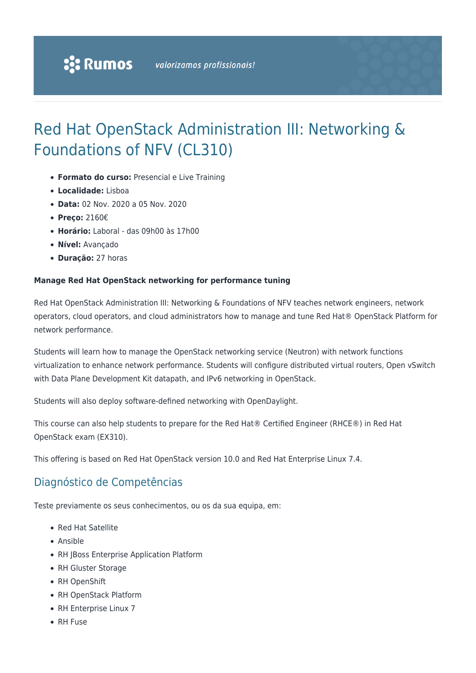# Red Hat OpenStack Administration III: Networking & Foundations of NFV (CL310)

- **Formato do curso:** Presencial e Live Training
- **Localidade:** Lisboa
- **Data:** 02 Nov. 2020 a 05 Nov. 2020
- **Preço:** 2160€
- **Horário:** Laboral das 09h00 às 17h00
- **Nível:** Avançado
- **Duração:** 27 horas

#### **Manage Red Hat OpenStack networking for performance tuning**

Red Hat OpenStack Administration III: Networking & Foundations of NFV teaches network engineers, network operators, cloud operators, and cloud administrators how to manage and tune Red Hat® OpenStack Platform for network performance.

Students will learn how to manage the OpenStack networking service (Neutron) with network functions virtualization to enhance network performance. Students will configure distributed virtual routers, Open vSwitch with Data Plane Development Kit datapath, and IPv6 networking in OpenStack.

Students will also deploy software-defined networking with OpenDaylight.

This course can also help students to prepare for the Red Hat® Certified Engineer (RHCE®) in Red Hat OpenStack exam (EX310).

This offering is based on Red Hat OpenStack version 10.0 and Red Hat Enterprise Linux 7.4.

### Diagnóstico de Competências

Teste previamente os seus conhecimentos, ou os da sua equipa, em:

- Red Hat Satellite
- Ansible
- RH JBoss Enterprise Application Platform
- RH Gluster Storage
- RH OpenShift
- RH OpenStack Platform
- RH Enterprise Linux 7
- RH Fuse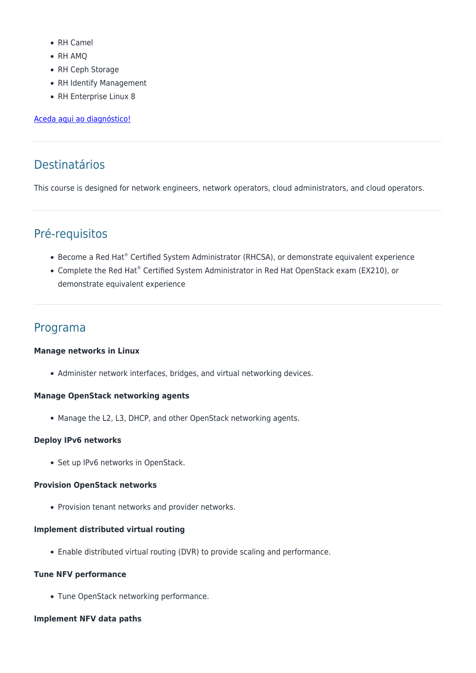- RH Camel
- RH AMQ
- RH Ceph Storage
- RH Identify Management
- RH Enterprise Linux 8

#### [Aceda aqui ao diagnóstico!](https://www.redhat.com/rhtapps/assessment/?partner=rumos)

# Destinatários

This course is designed for network engineers, network operators, cloud administrators, and cloud operators.

## Pré-requisitos

- Become a Red Hat® Certified System Administrator (RHCSA), or demonstrate equivalent experience
- Complete the Red Hat® Certified System Administrator in Red Hat OpenStack exam (EX210), or demonstrate equivalent experience

### Programa

#### **Manage networks in Linux**

• Administer network interfaces, bridges, and virtual networking devices.

#### **Manage OpenStack networking agents**

• Manage the L2, L3, DHCP, and other OpenStack networking agents.

#### **Deploy IPv6 networks**

• Set up IPv6 networks in OpenStack.

#### **Provision OpenStack networks**

• Provision tenant networks and provider networks.

#### **Implement distributed virtual routing**

Enable distributed virtual routing (DVR) to provide scaling and performance.

#### **Tune NFV performance**

Tune OpenStack networking performance.

#### **Implement NFV data paths**